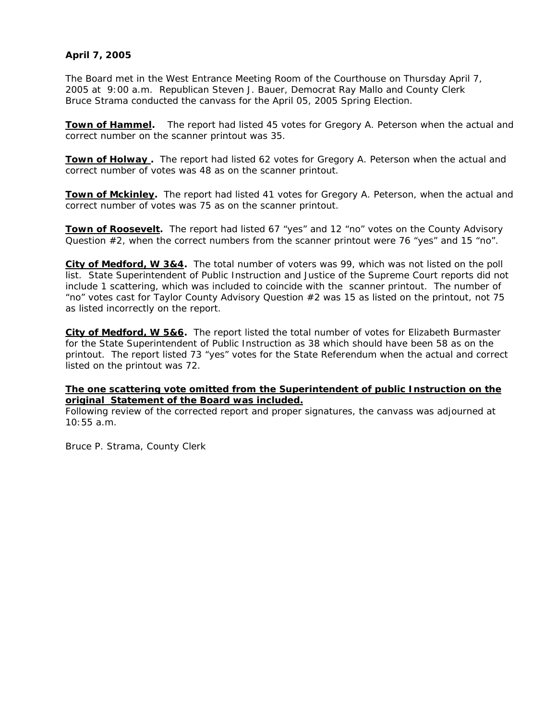## **April 7, 2005**

The Board met in the West Entrance Meeting Room of the Courthouse on Thursday April 7, 2005 at 9:00 a.m. Republican Steven J. Bauer, Democrat Ray Mallo and County Clerk Bruce Strama conducted the canvass for the April 05, 2005 Spring Election.

**Town of Hammel.** The report had listed 45 votes for Gregory A. Peterson when the actual and correct number on the scanner printout was 35.

**Town of Holway**. The report had listed 62 votes for Gregory A. Peterson when the actual and correct number of votes was 48 as on the scanner printout.

**Town of Mckinley.** The report had listed 41 votes for Gregory A. Peterson, when the actual and correct number of votes was 75 as on the scanner printout.

**Town of Roosevelt.** The report had listed 67 "yes" and 12 "no" votes on the County Advisory Question #2, when the correct numbers from the scanner printout were 76 "yes" and 15 "no".

**City of Medford, W 3&4.** The total number of voters was 99, which was not listed on the poll list. State Superintendent of Public Instruction and Justice of the Supreme Court reports did not include 1 scattering, which was included to coincide with the scanner printout. The number of "no" votes cast for Taylor County Advisory Question #2 was 15 as listed on the printout, not 75 as listed incorrectly on the report.

**City of Medford, W 5&6.** The report listed the total number of votes for Elizabeth Burmaster for the State Superintendent of Public Instruction as 38 which should have been 58 as on the printout. The report listed 73 "yes" votes for the State Referendum when the actual and correct listed on the printout was 72.

## **The one scattering vote omitted from the Superintendent of public Instruction on the original Statement of the Board was included.**

Following review of the corrected report and proper signatures, the canvass was adjourned at 10:55 a.m.

Bruce P. Strama, County Clerk